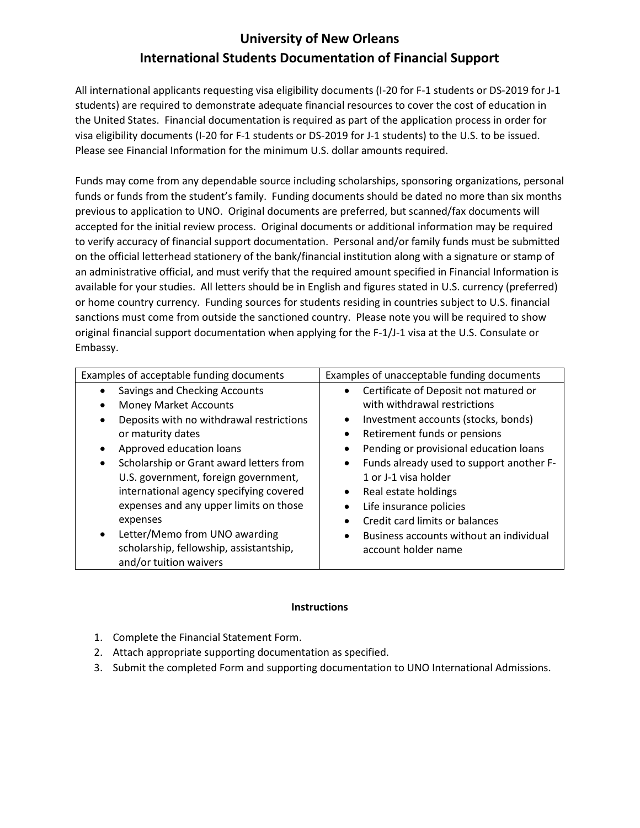# **University of New Orleans International Students Documentation of Financial Support**

All international applicants requesting visa eligibility documents (I-20 for F-1 students or DS-2019 for J-1 students) are required to demonstrate adequate financial resources to cover the cost of education in the United States. Financial documentation is required as part of the application process in order for visa eligibility documents (I-20 for F-1 students or DS-2019 for J-1 students) to the U.S. to be issued. Please see Financial Information for the minimum U.S. dollar amounts required.

Funds may come from any dependable source including scholarships, sponsoring organizations, personal funds or funds from the student's family. Funding documents should be dated no more than six months previous to application to UNO. Original documents are preferred, but scanned/fax documents will accepted for the initial review process. Original documents or additional information may be required to verify accuracy of financial support documentation. Personal and/or family funds must be submitted on the official letterhead stationery of the bank/financial institution along with a signature or stamp of an administrative official, and must verify that the required amount specified in Financial Information is available for your studies. All letters should be in English and figures stated in U.S. currency (preferred) or home country currency. Funding sources for students residing in countries subject to U.S. financial sanctions must come from outside the sanctioned country. Please note you will be required to show original financial support documentation when applying for the F-1/J-1 visa at the U.S. Consulate or Embassy.

| Examples of acceptable funding documents             | Examples of unacceptable funding documents            |
|------------------------------------------------------|-------------------------------------------------------|
| Savings and Checking Accounts                        | Certificate of Deposit not matured or<br>$\bullet$    |
| <b>Money Market Accounts</b>                         | with withdrawal restrictions                          |
| Deposits with no withdrawal restrictions             | Investment accounts (stocks, bonds)<br>$\bullet$      |
| or maturity dates                                    | Retirement funds or pensions<br>$\bullet$             |
| Approved education loans<br>$\bullet$                | Pending or provisional education loans<br>٠           |
| Scholarship or Grant award letters from<br>$\bullet$ | Funds already used to support another F-<br>$\bullet$ |
| U.S. government, foreign government,                 | 1 or J-1 visa holder                                  |
| international agency specifying covered              | Real estate holdings<br>٠                             |
| expenses and any upper limits on those               | Life insurance policies<br>$\bullet$                  |
| expenses                                             | Credit card limits or balances<br>$\bullet$           |
| Letter/Memo from UNO awarding<br>$\bullet$           | Business accounts without an individual<br>$\bullet$  |
| scholarship, fellowship, assistantship,              | account holder name                                   |
| and/or tuition waivers                               |                                                       |

#### **Instructions**

- 1. Complete the Financial Statement Form.
- 2. Attach appropriate supporting documentation as specified.
- 3. Submit the completed Form and supporting documentation to UNO International Admissions.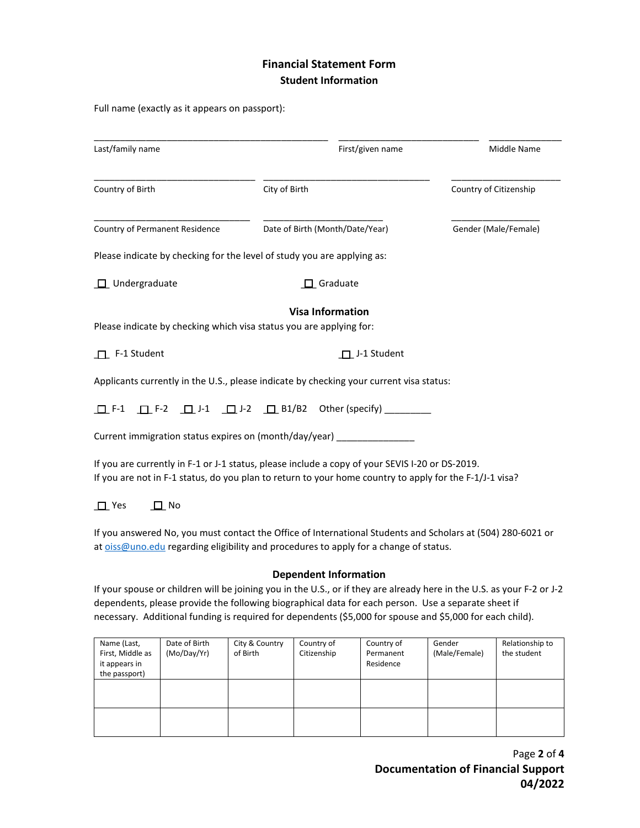## **Financial Statement Form Student Information**

Full name (exactly as it appears on passport):

| Last/family name                                                                          | First/given name                                                                                                                                                                                           | Middle Name            |  |
|-------------------------------------------------------------------------------------------|------------------------------------------------------------------------------------------------------------------------------------------------------------------------------------------------------------|------------------------|--|
| Country of Birth                                                                          | City of Birth                                                                                                                                                                                              | Country of Citizenship |  |
| <b>Country of Permanent Residence</b>                                                     | Date of Birth (Month/Date/Year)                                                                                                                                                                            | Gender (Male/Female)   |  |
|                                                                                           | Please indicate by checking for the level of study you are applying as:                                                                                                                                    |                        |  |
| $\Box$ Undergraduate                                                                      | $\Box$ Graduate                                                                                                                                                                                            |                        |  |
| Please indicate by checking which visa status you are applying for:<br>$\Box$ F-1 Student | <b>Visa Information</b><br>$\Box$ J-1 Student                                                                                                                                                              |                        |  |
|                                                                                           | Applicants currently in the U.S., please indicate by checking your current visa status:                                                                                                                    |                        |  |
|                                                                                           | $\Box$ F-1 $\Box$ F-2 $\Box$ J-1 $\Box$ J-2 $\Box$ B1/B2 Other (specify)                                                                                                                                   |                        |  |
|                                                                                           | Current immigration status expires on (month/day/year) _______________                                                                                                                                     |                        |  |
|                                                                                           | If you are currently in F-1 or J-1 status, please include a copy of your SEVIS I-20 or DS-2019.<br>If you are not in F-1 status, do you plan to return to your home country to apply for the F-1/J-1 visa? |                        |  |
| $\Box$ Yes<br>No                                                                          |                                                                                                                                                                                                            |                        |  |

If you answered No, you must contact the Office of International Students and Scholars at (504) 280-6021 or a[t oiss@uno.edu](mailto:oiss@uno.edu) regarding eligibility and procedures to apply for a change of status.

### **Dependent Information**

If your spouse or children will be joining you in the U.S., or if they are already here in the U.S. as your F-2 or J-2 dependents, please provide the following biographical data for each person. Use a separate sheet if necessary. Additional funding is required for dependents (\$5,000 for spouse and \$5,000 for each child).

| Name (Last,<br>First, Middle as<br>it appears in<br>the passport) | Date of Birth<br>(Mo/Day/Yr) | City & Country<br>of Birth | Country of<br>Citizenship | Country of<br>Permanent<br>Residence | Gender<br>(Male/Female) | Relationship to<br>the student |
|-------------------------------------------------------------------|------------------------------|----------------------------|---------------------------|--------------------------------------|-------------------------|--------------------------------|
|                                                                   |                              |                            |                           |                                      |                         |                                |
|                                                                   |                              |                            |                           |                                      |                         |                                |

Page **2** of **4 Documentation of Financial Support 04/2022**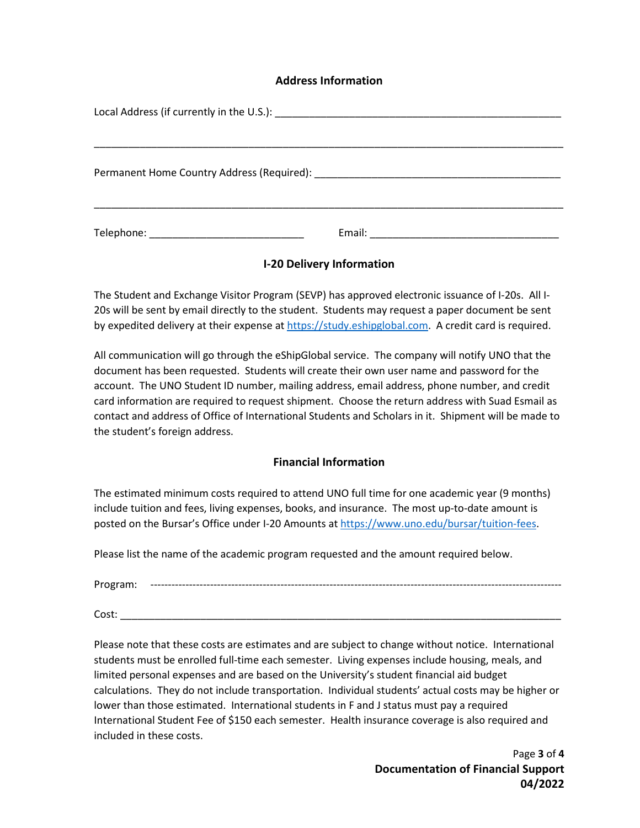## **Address Information**

## **I-20 Delivery Information**

The Student and Exchange Visitor Program (SEVP) has approved electronic issuance of I-20s. All I-20s will be sent by email directly to the student. Students may request a paper document be sent by expedited delivery at their expense at [https://study.eshipglobal.com.](https://study.eshipglobal.com/) A credit card is required.

All communication will go through the eShipGlobal service. The company will notify UNO that the document has been requested. Students will create their own user name and password for the account. The UNO Student ID number, mailing address, email address, phone number, and credit card information are required to request shipment. Choose the return address with Suad Esmail as contact and address of Office of International Students and Scholars in it. Shipment will be made to the student's foreign address.

## **Financial Information**

The estimated minimum costs required to attend UNO full time for one academic year (9 months) include tuition and fees, living expenses, books, and insurance. The most up-to-date amount is posted on the Bursar's Office under I-20 Amounts at [https://www.uno.edu/bursar/tuition-fees.](https://www.uno.edu/bursar/tuition-fees)

Please list the name of the academic program requested and the amount required below.

Program: ---------------------------------------------------------------------------------------------------------------------

Cost: \_\_\_\_\_\_\_\_\_\_\_\_\_\_\_\_\_\_\_\_\_\_\_\_\_\_\_\_\_\_\_\_\_\_\_\_\_\_\_\_\_\_\_\_\_\_\_\_\_\_\_\_\_\_\_\_\_\_\_\_\_\_\_\_\_\_\_\_\_\_\_\_\_\_\_\_\_

Please note that these costs are estimates and are subject to change without notice. International students must be enrolled full-time each semester. Living expenses include housing, meals, and limited personal expenses and are based on the University's student financial aid budget calculations. They do not include transportation. Individual students' actual costs may be higher or lower than those estimated. International students in F and J status must pay a required International Student Fee of \$150 each semester. Health insurance coverage is also required and included in these costs.

> Page **3** of **4 Documentation of Financial Support 04/2022**